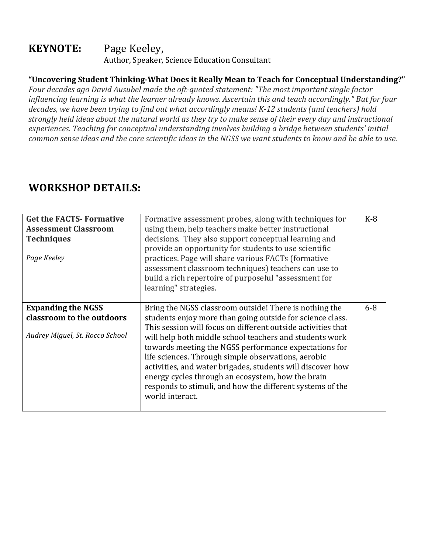## **KEYNOTE:** Page Keeley, Author, Speaker, Science Education Consultant

## **"Uncovering Student Thinking-What Does it Really Mean to Teach for Conceptual Understanding?"**

Four decades ago David Ausubel made the oft-quoted statement: "The most important single factor *influencing learning is what the learner already knows. Ascertain this and teach accordingly." But for four* decades, we have been trying to find out what accordingly means! K-12 students (and teachers) hold *strongly held ideas about the natural world as they try to make sense of their every day and instructional* experiences. Teaching for conceptual understanding involves building a bridge between students' initial *common sense ideas and the core scientific ideas in the NGSS we want students to know and be able to use.* 

## **WORKSHOP DETAILS:**

| <b>Get the FACTS- Formative</b><br><b>Assessment Classroom</b><br><b>Techniques</b><br>Page Keeley | Formative assessment probes, along with techniques for<br>using them, help teachers make better instructional<br>decisions. They also support conceptual learning and<br>provide an opportunity for students to use scientific<br>practices. Page will share various FACTs (formative<br>assessment classroom techniques) teachers can use to<br>build a rich repertoire of purposeful "assessment for<br>learning" strategies.                                                                                                                                   | $K-8$ |
|----------------------------------------------------------------------------------------------------|-------------------------------------------------------------------------------------------------------------------------------------------------------------------------------------------------------------------------------------------------------------------------------------------------------------------------------------------------------------------------------------------------------------------------------------------------------------------------------------------------------------------------------------------------------------------|-------|
| <b>Expanding the NGSS</b><br>classroom to the outdoors<br>Audrey Miguel, St. Rocco School          | Bring the NGSS classroom outside! There is nothing the<br>students enjoy more than going outside for science class.<br>This session will focus on different outside activities that<br>will help both middle school teachers and students work<br>towards meeting the NGSS performance expectations for<br>life sciences. Through simple observations, aerobic<br>activities, and water brigades, students will discover how<br>energy cycles through an ecosystem, how the brain<br>responds to stimuli, and how the different systems of the<br>world interact. | $6-8$ |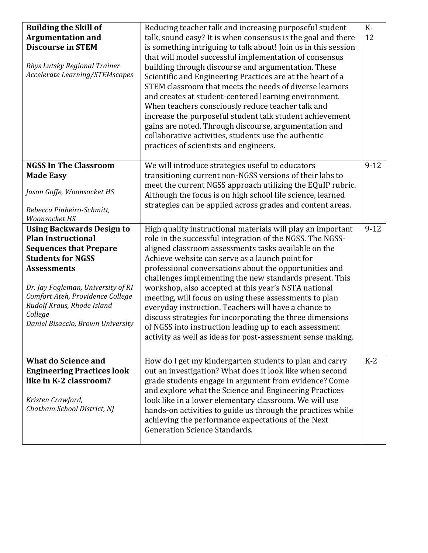| <b>Building the Skill of</b><br><b>Argumentation and</b><br><b>Discourse in STEM</b><br>Rhys Lutsky Regional Trainer<br>Accelerate Learning/STEMscopes                                                                                                                                                   | Reducing teacher talk and increasing purposeful student<br>talk, sound easy? It is when consensus is the goal and there<br>is something intriguing to talk about! Join us in this session<br>that will model successful implementation of consensus<br>building through discourse and argumentation. These<br>Scientific and Engineering Practices are at the heart of a<br>STEM classroom that meets the needs of diverse learners<br>and creates at student-centered learning environment.<br>When teachers consciously reduce teacher talk and<br>increase the purposeful student talk student achievement<br>gains are noted. Through discourse, argumentation and<br>collaborative activities, students use the authentic<br>practices of scientists and engineers. | $K-$<br>12 |
|----------------------------------------------------------------------------------------------------------------------------------------------------------------------------------------------------------------------------------------------------------------------------------------------------------|--------------------------------------------------------------------------------------------------------------------------------------------------------------------------------------------------------------------------------------------------------------------------------------------------------------------------------------------------------------------------------------------------------------------------------------------------------------------------------------------------------------------------------------------------------------------------------------------------------------------------------------------------------------------------------------------------------------------------------------------------------------------------|------------|
| <b>NGSS In The Classroom</b><br><b>Made Easy</b><br>Jason Goffe, Woonsocket HS<br>Rebecca Pinheiro-Schmitt,<br>Woonsocket HS                                                                                                                                                                             | We will introduce strategies useful to educators<br>transitioning current non-NGSS versions of their labs to<br>meet the current NGSS approach utilizing the EQuIP rubric.<br>Although the focus is on high school life science, learned<br>strategies can be applied across grades and content areas.                                                                                                                                                                                                                                                                                                                                                                                                                                                                   | $9-12$     |
| <b>Using Backwards Design to</b><br><b>Plan Instructional</b><br><b>Sequences that Prepare</b><br><b>Students for NGSS</b><br><b>Assessments</b><br>Dr. Jay Fogleman, University of RI<br>Comfort Ateh, Providence College<br>Rudolf Kraus, Rhode Island<br>College<br>Daniel Bisaccio, Brown University | High quality instructional materials will play an important<br>role in the successful integration of the NGSS. The NGSS-<br>aligned classroom assessments tasks available on the<br>Achieve website can serve as a launch point for<br>professional conversations about the opportunities and<br>challenges implementing the new standards present. This<br>workshop, also accepted at this year's NSTA national<br>meeting, will focus on using these assessments to plan<br>everyday instruction. Teachers will have a chance to<br>discuss strategies for incorporating the three dimensions<br>of NGSS into instruction leading up to each assessment<br>activity as well as ideas for post-assessment sense making.                                                 | $9-12$     |
| <b>What do Science and</b><br><b>Engineering Practices look</b><br>like in K-2 classroom?<br>Kristen Crawford,<br>Chatham School District, NJ                                                                                                                                                            | How do I get my kindergarten students to plan and carry<br>out an investigation? What does it look like when second<br>grade students engage in argument from evidence? Come<br>and explore what the Science and Engineering Practices<br>look like in a lower elementary classroom. We will use<br>hands-on activities to guide us through the practices while<br>achieving the performance expectations of the Next<br><b>Generation Science Standards.</b>                                                                                                                                                                                                                                                                                                            | $K-2$      |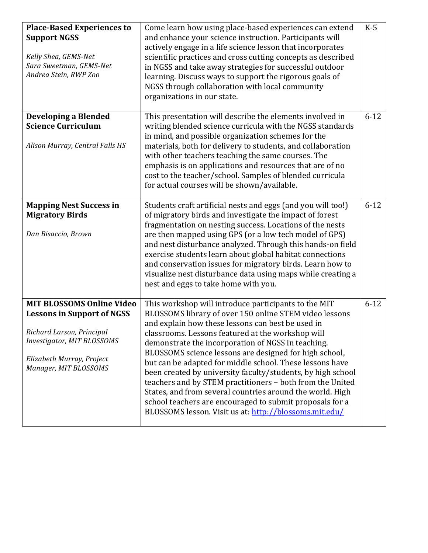| <b>Place-Based Experiences to</b><br><b>Support NGSS</b><br>Kelly Shea, GEMS-Net<br>Sara Sweetman, GEMS-Net<br>Andrea Stein, RWP Zoo                                                   | Come learn how using place-based experiences can extend<br>and enhance your science instruction. Participants will<br>actively engage in a life science lesson that incorporates<br>scientific practices and cross cutting concepts as described<br>in NGSS and take away strategies for successful outdoor<br>learning. Discuss ways to support the rigorous goals of<br>NGSS through collaboration with local community<br>organizations in our state.                                                                                                                                                                                                                                                            | $K-5$    |
|----------------------------------------------------------------------------------------------------------------------------------------------------------------------------------------|---------------------------------------------------------------------------------------------------------------------------------------------------------------------------------------------------------------------------------------------------------------------------------------------------------------------------------------------------------------------------------------------------------------------------------------------------------------------------------------------------------------------------------------------------------------------------------------------------------------------------------------------------------------------------------------------------------------------|----------|
| <b>Developing a Blended</b><br><b>Science Curriculum</b><br>Alison Murray, Central Falls HS                                                                                            | This presentation will describe the elements involved in<br>writing blended science curricula with the NGSS standards<br>in mind, and possible organization schemes for the<br>materials, both for delivery to students, and collaboration<br>with other teachers teaching the same courses. The<br>emphasis is on applications and resources that are of no<br>cost to the teacher/school. Samples of blended curricula<br>for actual courses will be shown/available.                                                                                                                                                                                                                                             | $6 - 12$ |
| <b>Mapping Nest Success in</b><br><b>Migratory Birds</b><br>Dan Bisaccio, Brown                                                                                                        | Students craft artificial nests and eggs (and you will too!)<br>of migratory birds and investigate the impact of forest<br>fragmentation on nesting success. Locations of the nests<br>are then mapped using GPS (or a low tech model of GPS)<br>and nest disturbance analyzed. Through this hands-on field<br>exercise students learn about global habitat connections<br>and conservation issues for migratory birds. Learn how to<br>visualize nest disturbance data using maps while creating a<br>nest and eggs to take home with you.                                                                                                                                                                         | $6 - 12$ |
| <b>MIT BLOSSOMS Online Video</b><br><b>Lessons in Support of NGSS</b><br>Richard Larson, Principal<br>Investigator, MIT BLOSSOMS<br>Elizabeth Murray, Project<br>Manager, MIT BLOSSOMS | This workshop will introduce participants to the MIT<br>BLOSSOMS library of over 150 online STEM video lessons<br>and explain how these lessons can best be used in<br>classrooms. Lessons featured at the workshop will<br>demonstrate the incorporation of NGSS in teaching.<br>BLOSSOMS science lessons are designed for high school,<br>but can be adapted for middle school. These lessons have<br>been created by university faculty/students, by high school<br>teachers and by STEM practitioners - both from the United<br>States, and from several countries around the world. High<br>school teachers are encouraged to submit proposals for a<br>BLOSSOMS lesson. Visit us at: http://blossoms.mit.edu/ | $6 - 12$ |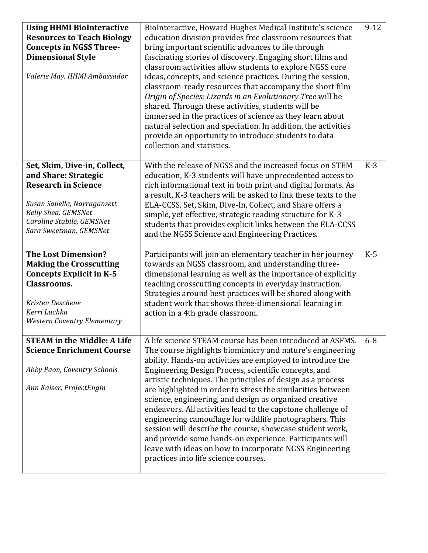| <b>Using HHMI BioInteractive</b><br><b>Resources to Teach Biology</b><br><b>Concepts in NGSS Three-</b><br><b>Dimensional Style</b><br>Valerie May, HHMI Ambassador                             | BioInteractive, Howard Hughes Medical Institute's science<br>education division provides free classroom resources that<br>bring important scientific advances to life through<br>fascinating stories of discovery. Engaging short films and<br>classroom activities allow students to explore NGSS core<br>ideas, concepts, and science practices. During the session,<br>classroom-ready resources that accompany the short film<br>Origin of Species: Lizards in an Evolutionary Tree will be<br>shared. Through these activities, students will be<br>immersed in the practices of science as they learn about<br>natural selection and speciation. In addition, the activities<br>provide an opportunity to introduce students to data<br>collection and statistics.                | $9 - 12$ |
|-------------------------------------------------------------------------------------------------------------------------------------------------------------------------------------------------|-----------------------------------------------------------------------------------------------------------------------------------------------------------------------------------------------------------------------------------------------------------------------------------------------------------------------------------------------------------------------------------------------------------------------------------------------------------------------------------------------------------------------------------------------------------------------------------------------------------------------------------------------------------------------------------------------------------------------------------------------------------------------------------------|----------|
| Set, Skim, Dive-in, Collect,<br>and Share: Strategic<br><b>Research in Science</b><br>Susan Sabella, Narragansett<br>Kelly Shea, GEMSNet<br>Caroline Stabile, GEMSNet<br>Sara Sweetman, GEMSNet | With the release of NGSS and the increased focus on STEM<br>education, K-3 students will have unprecedented access to<br>rich informational text in both print and digital formats. As<br>a result, K-3 teachers will be asked to link these texts to the<br>ELA-CCSS. Set, Skim, Dive-In, Collect, and Share offers a<br>simple, yet effective, strategic reading structure for K-3<br>students that provides explicit links between the ELA-CCSS<br>and the NGSS Science and Engineering Practices.                                                                                                                                                                                                                                                                                   | $K-3$    |
| <b>The Lost Dimension?</b><br><b>Making the Crosscutting</b><br><b>Concepts Explicit in K-5</b><br><b>Classrooms.</b><br>Kristen Deschene<br>Kerri Luchka<br><b>Western Coventry Elementary</b> | Participants will join an elementary teacher in her journey<br>towards an NGSS classroom, and understanding three-<br>dimensional learning as well as the importance of explicitly<br>teaching crosscutting concepts in everyday instruction.<br>Strategies around best practices will be shared along with<br>student work that shows three-dimensional learning in<br>action in a 4th grade classroom.                                                                                                                                                                                                                                                                                                                                                                                | $K-5$    |
| <b>STEAM in the Middle: A Life</b><br><b>Science Enrichment Course</b><br>Abby Paon, Coventry Schools<br>Ann Kaiser, ProjectEngin                                                               | A life science STEAM course has been introduced at ASFMS.<br>The course highlights biomimicry and nature's engineering<br>ability. Hands-on activities are employed to introduce the<br>Engineering Design Process, scientific concepts, and<br>artistic techniques. The principles of design as a process<br>are highlighted in order to stress the similarities between<br>science, engineering, and design as organized creative<br>endeavors. All activities lead to the capstone challenge of<br>engineering camouflage for wildlife photographers. This<br>session will describe the course, showcase student work,<br>and provide some hands-on experience. Participants will<br>leave with ideas on how to incorporate NGSS Engineering<br>practices into life science courses. | $6 - 8$  |